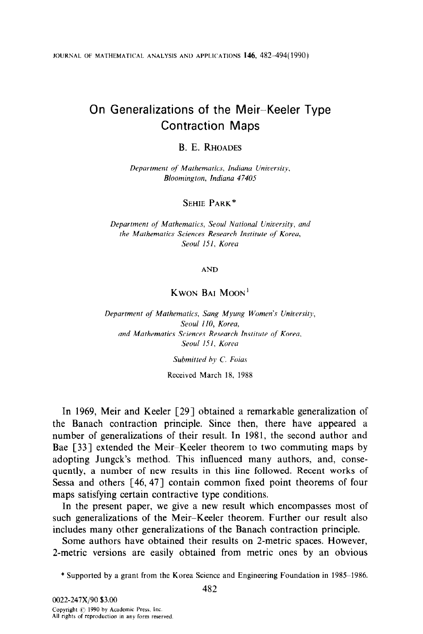JOURNAL OF MATHEMATICAL ANALYSIS AND APPLICATIONS 146, 482-494(1990)

# On Generalizations of the Meir-Keeler Type Contraction Maps

## B. E. RHOADES

Department of Mathematics, Indiana University, Bloomington, Indiana 47405

## SEHIE PARK\*

Department of Mathematics, Seoul National University, and the Mathematics Sciences Research Institute of Koreu, Seoul 151. Korea

AND

# KWON BAI MOON'

Department of Mathematics, Sang Myung Women's University, Seoul 110, Korea, and Mathematics Sciences Research Insiirute of Koreu, Seoul 151, Korea

Submitted by C. Foias

Received March 18, 1988

In 1969, Meir and Keeler [29] obtained a remarkable generalization of the Banach contraction principle. Since then, there have appeared a number of generalizations of their result. In 1981, the second author and Bae [33] extended the Meir-Keeler theorem to two commuting maps by adopting Jungck's method. This influenced many authors, and, consequently, a number of new results in this line followed. Recent works of Sessa and others [46,47] contain common fixed point theorems of four maps satisfying certain contractive type conditions.

In the present paper, we give a new result which encompasses most of such generalizations of the Meir-Keeler theorem. Further our result also includes many other generalizations of the Banach contraction principle.

Some authors have obtained their results on 2-metric spaces. However, 2-metric versions are easily obtained from metric ones by an obvious

\* Supported by a grant from the Korea Science and Engineering Foundation in 1985-1986.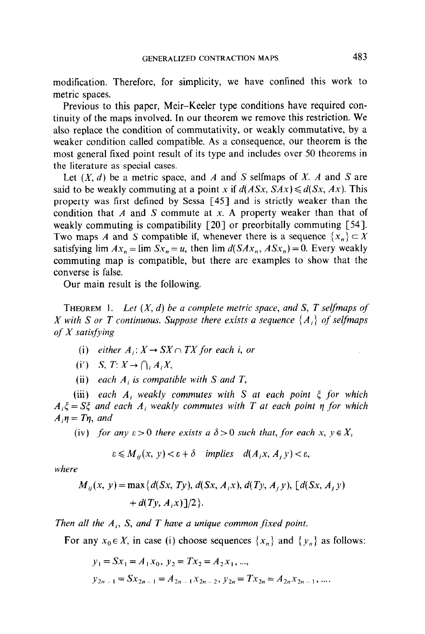modification. Therefore, for simplicity, we have confined this work to metric spaces.

Previous to this paper, Meir-Keeler type conditions have required continuity of the maps involved. In our theorem we remove this restriction. We also replace the condition of commutativity, or weakly commutative, by a weaker condition called compatible. As a consequence, our theorem is the most general fixed point result of its type and includes over 50 theorems in the literature as special cases.

Let  $(X, d)$  be a metric space, and A and S selfmaps of X. A and S are said to be weakly commuting at a point x if  $d(ASx, SAx) \le d(Sx, Ax)$ . This property was first defined by Sessa [45] and is strictly weaker than the condition that A and S commute at x. A property weaker than that of weakly commuting is compatibility [20] or preorbitally commuting [54]. Two maps A and S compatible if, whenever there is a sequence  $\{x_n\} \subset X$ satisfying lim  $Ax_n = \lim Sx_n = u$ , then  $\lim d(SAx_n, ASx_n) = 0$ . Every weakly commuting map is compatible, but there are examples to show that the converse is false.

Our main result is the following.

**THEOREM** 1. Let  $(X, d)$  be a complete metric space, and S, T selfmaps of X with S or T continuous. Suppose there exists a sequence  $\{A_i\}$  of selfmaps of X satisfying

- (i) either  $A_i: X \to SX \cap TX$  for each i, or
- (i') S, T:  $X \to \bigcap_i A_i X$ ,
- (ii) each  $A_i$  is compatible with S and T,

(iii) each  $A_i$  weakly commutes with S at each point  $\xi$  for which  $A_i \xi = S \xi$  and each A<sub>i</sub> weakly commutes with T at each point  $\eta$  for which  $A_i$ <sub>n</sub> = T<sub>n</sub>, and

(iv) for any  $\varepsilon > 0$  there exists a  $\delta > 0$  such that, for each x,  $v \in X$ ,

$$
\varepsilon \leq M_{ij}(x, y) < \varepsilon + \delta \quad \text{implies} \quad d(A_i x, A_j y) < \varepsilon,
$$

where

$$
M_{ij}(x, y) = \max\{d(Sx, Ty), d(Sx, A_i x), d(Ty, A_j y), [d(Sx, A_j y) + d(Ty, A_i x)]/2\}.
$$

Then all the  $A_i$ , S, and T have a unique common fixed point.

For any  $x_0 \in X$ , in case (i) choose sequences  $\{x_n\}$  and  $\{y_n\}$  as follows:

 $y_1 = Sx_1 = A_1x_0, y_2 = Tx_2 = A_2x_1, ...,$  $y_{2n-1}=Sx_{2n-1}=A_{2n-1}x_{2n-2}, y_{2n}=Tx_{2n}=A_{2n}x_{2n-1},...$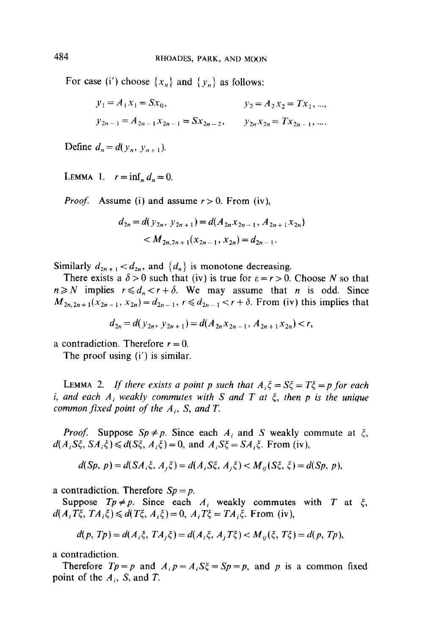For case (i') choose  $\{x_n\}$  and  $\{y_n\}$  as follows:

$$
y_1 = A_1 x_1 = Sx_0,
$$
  $y_2 = A_2 x_2 = Tx_1, ...,$   
\n $y_{2n-1} = A_{2n-1} x_{2n-1} = Sx_{2n-2},$   $y_{2n} x_{2n} = Tx_{2n-1}, ...$ 

Define  $d_n = d(y_n, y_{n+1})$ .

LEMMA 1.  $r = \inf_n d_n = 0$ .

*Proof.* Assume (i) and assume  $r > 0$ . From (iv),

$$
d_{2n} = d(y_{2n}, y_{2n+1}) = d(A_{2n}x_{2n-1}, A_{2n+1}x_{2n})
$$
  

$$
< M_{2n, 2n+1}(x_{2n-1}, x_{2n}) = d_{2n-1}.
$$

Similarly  $d_{2n+1} < d_{2n}$ , and  $\{d_n\}$  is monotone decreasing.

There exists a  $\delta > 0$  such that (iv) is true for  $\varepsilon = r > 0$ . Choose N so that  $n \ge N$  implies  $r \le d_n < r + \delta$ . We may assume that n is odd. Since  $M_{2n,2n+1}(x_{2n-1},x_{2n})=d_{2n-1}, r \leq d_{2n-1} < r + \delta$ . From (iv) this implies that

$$
d_{2n} = d(y_{2n}, y_{2n+1}) = d(A_{2n}x_{2n-1}, A_{2n+1}x_{2n}) < r,
$$

a contradiction. Therefore  $r = 0$ .

The proof using (i') is similar.

LEMMA 2. If there exists a point p such that  $A_i \xi = S\xi = T\xi = p$  for each i, and each  $A_i$  weakly commutes with S and T at  $\xi$ , then p is the unique common fixed point of the  $A_i$ , S, and T.

*Proof.* Suppose  $Sp \neq p$ . Since each  $A_i$  and S weakly commute at  $\xi$ ,  $d(A_iS\xi, SA_i\xi) \le d(S\xi, A_i\xi) = 0$ , and  $A_iS\xi = SA_i\xi$ . From (iv),

$$
d(Sp, p) = d(SA_i\xi, A_j\xi) = d(A_iS\xi, A_j\xi) < M_{ij}(S\xi, \xi) = d(Sp, p),
$$

a contradiction. Therefore  $Sp = p$ .

Suppose  $Tp \neq p$ . Since each  $A_i$  weakly commutes with T at  $\xi$ ,  $d(A_i T\xi, TA_i\xi) \leq d(T\xi, A_i\xi) = 0$ ,  $A_i T\xi = TA_i\xi$ . From (iv),

$$
d(p, Tp) = d(A_i \xi, TA_j \xi) = d(A_i \xi, A_j T\xi) < M_{ij}(\xi, T\xi) = d(p, Tp),
$$

a contradiction.

Therefore  $Tp = p$  and  $A_i p = A_i S \xi = Sp = p$ , and p is a common fixed point of the  $A_i$ , S, and T.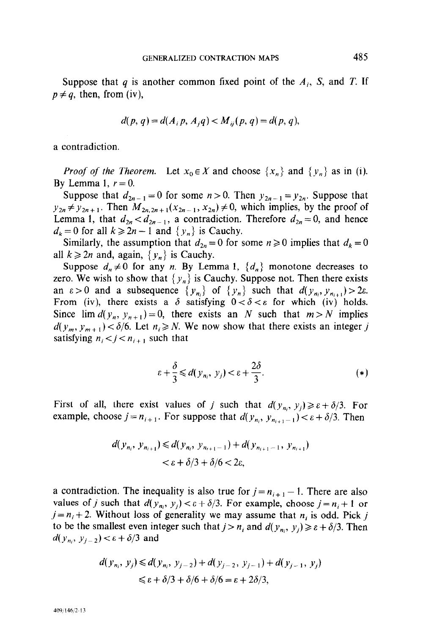Suppose that q is another common fixed point of the  $A_i$ , S, and T. If  $p \neq q$ , then, from (iv),

$$
d(p, q) = d(A_i p, A_j q) < M_{ij}(p, q) = d(p, q),
$$

a contradiction.

*Proof of the Theorem.* Let  $x_0 \in X$  and choose  $\{x_n\}$  and  $\{y_n\}$  as in (i). By Lemma 1,  $r=0$ .

Suppose that  $d_{2n-1} = 0$  for some  $n > 0$ . Then  $y_{2n-1} = y_{2n}$ . Suppose that  $y_{2n} \neq y_{2n+1}$ . Then  $M_{2n,2n+1}(x_{2n-1}, x_{2n}) \neq 0$ , which implies, by the proof of Lemma 1, that  $d_{2n} < d_{2n-1}$ , a contradiction. Therefore  $d_{2n} = 0$ , and hence  $d_k = 0$  for all  $k \ge 2n - 1$  and  $\{ y_n \}$  is Cauchy.

Similarly, the assumption that  $d_{2n} = 0$  for some  $n \ge 0$  implies that  $d_k = 0$ all  $k \geq 2n$  and, again,  $\{y_n\}$  is Cauchy.

Suppose  $d_n \neq 0$  for any *n*. By Lemma 1,  $\{d_n\}$  monotone decreases to zero. We wish to show that  $\{y_n\}$  is Cauchy. Suppose not. Then there exists an  $\varepsilon > 0$  and a subsequence  $\{y_{n_i}\}\$  of  $\{y_n\}$  such that  $d(y_{n_i}, y_{n_{i+1}}) > 2\varepsilon$ . From (iv), there exists a  $\delta$  satisfying  $0 < \delta < \varepsilon$  for which (iv) holds. Since  $\lim d(y_n, y_{n+1}) = 0$ , there exists an N such that  $m > N$  implies  $d(y_m, y_{m+1}) < \delta/6$ . Let  $n_i \ge N$ . We now show that there exists an integer j satisfying  $n_i < j < n_{i+1}$  such that

$$
\varepsilon + \frac{\delta}{3} \leq d(y_{n_i}, y_j) < \varepsilon + \frac{2\delta}{3}.\tag{*}
$$

First of all, there exist values of j such that  $d(y_{n_i}, y_j) \ge \varepsilon + \delta/3$ . For example, choose  $j = n_{i+1}$ . For suppose that  $d(y_{n_i}, y_{n_{i+1}-1}) < \varepsilon + \delta/3$ . Then

$$
d(y_{n_i}, y_{n_{i+1}}) \le d(y_{n_i}, y_{n_{i+1}-1}) + d(y_{n_{i+1}-1}, y_{n_{i+1}})
$$
  

$$
< \varepsilon + \delta/3 + \delta/6 < 2\varepsilon,
$$

a contradiction. The inequality is also true for  $j = n_{i+1} - 1$ . There are also values of j such that  $d(y_{n_i}, y_i) < \varepsilon + \delta/3$ . For example, choose  $j = n_i + 1$  or  $j = n<sub>i</sub> + 2$ . Without loss of generality we may assume that  $n<sub>i</sub>$  is odd. Pick j to be the smallest even integer such that  $j > n_i$  and  $d(y_{n_i}, y_j) \ge \varepsilon + \delta/3$ . Then  $d(y_{n_i}, y_{i-2}) < \epsilon + \delta/3$  and

$$
d(y_{n_i}, y_j) \le d(y_{n_i}, y_{j-2}) + d(y_{j-2}, y_{j-1}) + d(y_{j-1}, y_j)
$$
  

$$
\le \varepsilon + \delta/3 + \delta/6 + \delta/6 = \varepsilon + 2\delta/3,
$$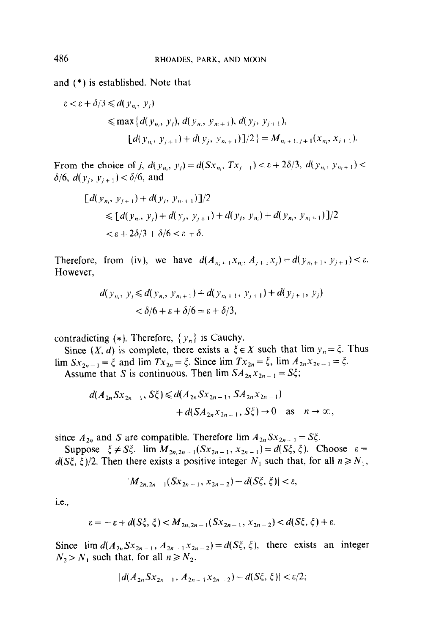and (\*) is established. Note that

$$
\varepsilon < \varepsilon + \delta/3 \leq d(y_{n_i}, y_j)
$$
\n
$$
\leq \max \{ d(y_{n_i}, y_j), d(y_{n_i}, y_{n_i+1}), d(y_j, y_{j+1}),
$$
\n
$$
[d(y_{n_i}, y_{j+1}) + d(y_j, y_{n_i+1}) ]/2 \} = M_{n_i+1, j+1}(x_{n_i}, x_{j+1}).
$$

From the choice of j,  $d(y_{n_i}, y_i) = d(Sx_{n_i}, Tx_{i+1}) < \varepsilon + 2\delta/3$ ,  $d(y_{n_i}, y_{n_i+1}) <$  $\delta/6$ ,  $d(y_i, y_{i+1}) < \delta/6$ , and

$$
[d(y_{n_i}, y_{j+1}) + d(y_j, y_{n_i+1})]/2
$$
  
\n
$$
\leq [d(y_{n_i}, y_j) + d(y_j, y_{j+1}) + d(y_j, y_{n_i}) + d(y_{n_i}, y_{n_i+1})]/2
$$
  
\n
$$
< \varepsilon + 2\delta/3 + \delta/6 < \varepsilon + \delta.
$$

Therefore, from (iv), we have  $d(A_{n_i+1}x_{n_i}, A_{j+1}x_j) = d(y_{n_i+1}, y_{j+1}) < \varepsilon$ . However,

$$
d(y_{n_i}, y_j \le d(y_{n_i}, y_{n_i+1}) + d(y_{n_i+1}, y_{j+1}) + d(y_{j+1}, y_j)
$$
  
<  $\delta/6 + \varepsilon + \delta/6 = \varepsilon + \delta/3$ ,

contradicting (\*). Therefore,  $\{y_n\}$  is Cauchy.

Since  $(X, d)$  is complete, there exists a  $\xi \in X$  such that  $\lim y_n = \xi$ . Thus  $\lim_{n \to \infty} S_{x_{2n-1}} = \xi$  and  $\lim_{n \to \infty} T_{x_{2n}} = \xi$ . Since  $\lim_{n \to \infty} T_{x_{2n}} = \xi$ ,  $\lim_{n \to \infty} A_{x_{2n-1}} = \xi$ .

Assume that S is continuous. Then 
$$
\lim_{n \to \infty} SA_{2n}x_{2n-1} = S\zeta
$$
;

$$
d(A_{2n} S x_{2n-1}, S_{5}) \le d(A_{2n} S x_{2n-1}, S A_{2n} x_{2n-1})
$$
  
+  $d(S A_{2n} x_{2n-1}, S_{5}) \to 0$  as  $n \to \infty$ ,

since  $A_{2n}$  and S are compatible. Therefore lim  $A_{2n}Sx_{2n-1} = S\xi$ .

Suppose  $\xi \neq S_{\xi}^x$ . lim  $M_{2n,2n-1}(Sx_{2n-1}, x_{2n-1}) = d(S_{\xi}, \xi)$ . Choose  $\varepsilon =$  $d(S\xi, \xi)/2$ . Then there exists a positive integer  $N_1$  such that, for all  $n \ge N_1$ ,

$$
|M_{2n,2n-1}(Sx_{2n-1},x_{2n-2})-d(S\zeta,\zeta)|<\varepsilon,
$$

i.e.,

$$
\varepsilon = -\varepsilon + d(S\xi, \xi) < M_{2n, 2n-1}(Sx_{2n-1}, x_{2n-2}) < d(S\xi, \xi) + \varepsilon.
$$

Since  $\lim d(A_{2n} S x_{2n-1}, A_{2n-1} x_{2n-2}) = d(S\xi, \xi)$ , there exists an integer  $N_2 > N_1$  such that, for all  $n \ge N_2$ ,

$$
|d(A_{2n}Sx_{2n-1}, A_{2n-1}x_{2n-2})-d(S\xi, \xi)| < \varepsilon/2;
$$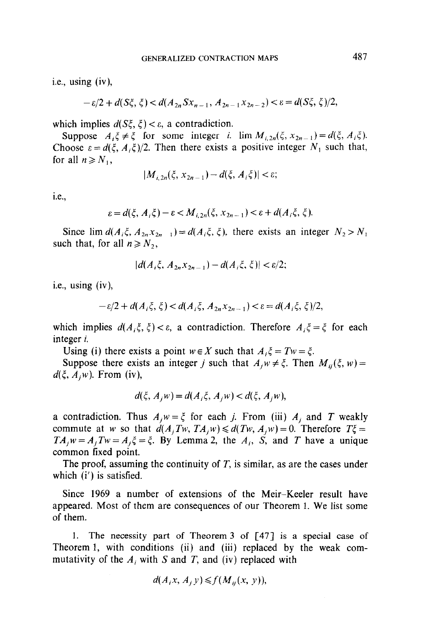i.e., using (iv),

$$
-\varepsilon/2 + d(S\xi, \xi) < d(A_{2n} S x_{n-1}, A_{2n-1} x_{2n-2}) < \varepsilon = d(S\xi, \xi)/2,
$$

which implies  $d(S\xi, \xi) < \varepsilon$ , a contradiction.

Suppose  $A_i \xi \neq \xi$  for some integer i. lim  $M_{i, 2n}(\xi, x_{2n-1}) = d(\xi, A_i \xi)$ . Choose  $\varepsilon = d(\xi, A_i \xi)/2$ . Then there exists a positive integer  $N_1$  such that, for all  $n \geq N_1$ ,

$$
|M_{i,2n}(\xi, x_{2n-1}) - d(\xi, A_i \xi)| < \varepsilon;
$$

i.e.,

$$
\varepsilon = d(\xi, A_i \xi) - \varepsilon < M_{i, 2n}(\xi, x_{2n-1}) < \varepsilon + d(A_i \xi, \xi).
$$

Since lim  $d(A_i\xi, A_{2n}x_{2n-1}) = d(A_i\xi, \xi)$ , there exists an integer  $N_2 > N_1$ such that, for all  $n \ge N_2$ ,

$$
|d(A_i\xi, A_{2n}X_{2n-1})-d(A_i\xi, \xi)| < \varepsilon/2;
$$

i.e., using (iv),

$$
-\varepsilon/2 + d(A_i\xi, \xi) < d(A_i\xi, A_{2n}X_{2n-1}) < \varepsilon = d(A_i\xi, \xi)/2,
$$

which implies  $d(A_i\xi, \xi) < \varepsilon$ , a contradiction. Therefore  $A_i\xi = \xi$  for each integer i.

Using (i) there exists a point  $w \in X$  such that  $A_i \xi = Tw = \xi$ .

Suppose there exists an integer j such that  $A_i w \neq \xi$ . Then  $M_{ii}(\xi, w) =$  $d(\xi, A_i w)$ . From (iv),

$$
d(\xi, A_j w) = d(A_i \xi, A_j w) < d(\xi, A_j w),
$$

a contradiction. Thus  $A_j w = \xi$  for each j. From (iii)  $A_j$  and T weakly commute at w so that  $d(A_iTw, TA_iw) \le d(Tw, A_iw) = 0$ . Therefore  $T\xi =$  $TA_iw = A_iTw = A_i\xi = \xi$ . By Lemma 2, the  $A_i$ , S, and T have a unique common fixed point.

The proof, assuming the continuity of  $T$ , is similar, as are the cases under which  $(i')$  is satisfied.

Since 1969 a number of extensions of the Meir-Keeler result have appeared. Most of them are consequences of our Theorem 1. We list some of them.

1. The necessity part of Theorem 3 of [47] is a special case of Theorem 1, with conditions (ii) and (iii) replaced by the weak commutativity of the  $A_i$ , with S and T, and (iv) replaced with

$$
d(A_i x, A_j y) \leq f(M_{ij}(x, y)),
$$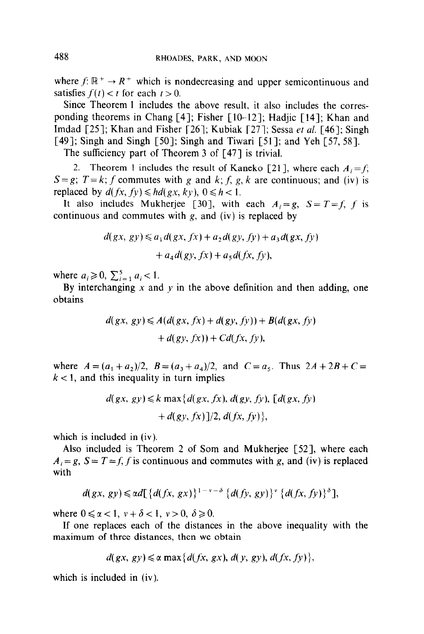where  $f: \mathbb{R}^+ \to \mathbb{R}^+$  which is nondecreasing and upper semicontinuous and satisfies  $f(t) < t$  for each  $t > 0$ .

Since Theorem 1 includes the above result, it also includes the corresponding theorems in Chang [4]; Fisher  $[10-12]$ ; Hadjic  $[14]$ ; Khan and Imdad [25]; Khan and Fisher [26]; Kubiak [27]; Sessa et al. [46]; Singh [49]; Singh and Singh [50]; Singh and Tiwari [51]; and Yeh [57, 58].

The sufficiency part of Theorem 3 of [47] is trivial.

2. Theorem 1 includes the result of Kaneko [21], where each  $A_i = f$ ;  $S = g$ ;  $T = k$ ; f commutes with g and k; f, g, k are continuous; and (iv) is replaced by  $d(fx, fy) \leq h d(gx, ky), 0 \leq h < 1$ .

It also includes Mukherjee [30], with each  $A_i = g$ ,  $S = T = f$ , f is continuous and commutes with  $g$ , and (iv) is replaced by

$$
d(gx, gy) \leq a_1 d(gx, fx) + a_2 d(gy, fy) + a_3 d(gx, fy)
$$

$$
+ a_4 d(gy, fx) + a_5 d(fx, fy),
$$

where  $a_i \geq 0$ ,  $\sum_{i=1}^{5} a_i < 1$ .

By interchanging  $x$  and  $y$  in the above definition and then adding, one obtains

$$
d(gx, gy) \leq A(d(gx, fx) + d(gy, fy)) + B(d(gx, fy) + d(gy, fx)) + Cd(fx, fy),
$$

where  $A = (a_1 + a_2)/2$ ,  $B = (a_3 + a_4)/2$ , and  $C = a_5$ . Thus  $2A + 2B + C =$  $k < 1$ , and this inequality in turn implies

$$
d(gx, gy) \le k \max\{d(gx, fx), d(gy, fy), [d(gx, fy) + d(gy, fx)]/2, d(fx, fy)\},\
$$

which is included in (iv).

Also included is Theorem 2 of Som and Mukherjee [52], where each  $A_i = g$ ,  $S = T = f$ , f is continuous and commutes with g, and (iv) is replaced with

$$
d(gx, gy) \leqslant \alpha d \left[ \left\{ d(fx, gx) \right\}^{1-\nu-\delta} \left\{ d(fy, gy) \right\}^{\nu} \left\{ d(fx, fy) \right\}^{\delta} \right],
$$

where  $0 \le \alpha < 1$ ,  $v + \delta < 1$ ,  $v > 0$ ,  $\delta \ge 0$ .

If one replaces each of the distances in the above inequality with the maximum of three distances, then we obtain

$$
d(gx, gy) \leq \alpha \max\{d(fx, gx), d(y, gy), d(fx, fy)\},\
$$

which is included in (iv).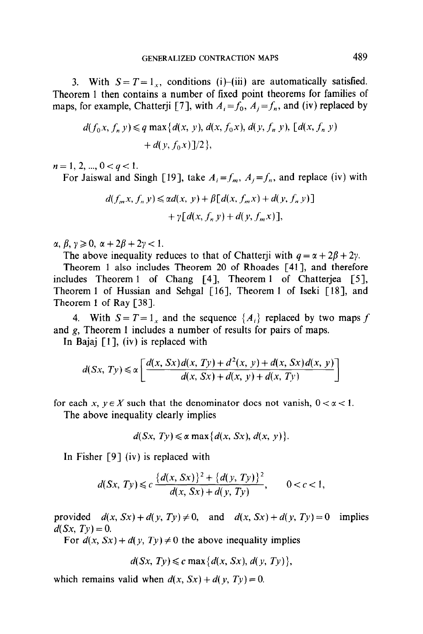3. With  $S = T = 1<sub>x</sub>$ , conditions (i)-(iii) are automatically satisfied. Theorem 1 then contains a number of fixed point theorems for families of maps, for example, Chatterji [7], with  $A_i = f_0$ ,  $A_j = f_n$ , and (iv) replaced by

$$
d(f_0x, f_n y) \leq q \max\{d(x, y), d(x, f_0x), d(y, f_n y), [d(x, f_n y) + d(y, f_0 x)]/2\},\
$$

 $n = 1, 2, ..., 0 < q < 1.$ 

For Jaiswal and Singh [19], take  $A_i = f_m$ ,  $A_j = f_n$ , and replace (iv) with

$$
d(f_m x, f_n y) \leq \alpha d(x, y) + \beta [d(x, f_m x) + d(y, f_n y)]
$$

$$
+ \gamma [d(x, f_n y) + d(y, f_m x)],
$$

 $\alpha, \beta, \gamma \geqslant 0$ ,  $\alpha + 2\beta + 2\gamma < 1$ .

The above inequality reduces to that of Chatterji with  $q = \alpha + 2\beta + 2\gamma$ .

Theorem 1 also includes Theorem 20 of Rhoades [41], and therefore includes Theorem 1 of Chang [4], Theorem 1 of Chatterjea [5], Theorem 1 of Hussian and Sehgal [16], Theorem 1 of Iseki [18], and Theorem 1 of Ray [38].

4. With  $S = T = 1_x$  and the sequence  $\{A_i\}$  replaced by two maps f and g, Theorem 1 includes a number of results for pairs of maps.

In Bajaj  $[1]$ , (iv) is replaced with

$$
d(Sx, Ty) \le \alpha \left[ \frac{d(x, Sx) d(x, Ty) + d^2(x, y) + d(x, Sx) d(x, y)}{d(x, Sx) + d(x, y) + d(x, Ty)} \right]
$$

for each x,  $y \in X$  such that the denominator does not vanish,  $0 < \alpha < 1$ .

The above inequality clearly implies

$$
d(Sx, Ty) \leq \alpha \max\{d(x, Sx), d(x, y)\}.
$$

In Fisher [9] (iv) is replaced with

$$
d(Sx, Ty) \leq c \frac{\{d(x, Sx)\}^2 + \{d(y, Ty)\}^2}{d(x, Sx) + d(y, Ty)}, \qquad 0 < c < 1,
$$

provided  $d(x, Sx) + d(y, Ty) \neq 0$ , and  $d(x, Sx) + d(y, Ty) = 0$  implies  $d(Sx, Ty) = 0.$ 

For  $d(x, Sx) + d(y, Ty) \neq 0$  the above inequality implies

$$
d(Sx, Ty) \leq c \max\{d(x, Sx), d(y, Ty)\},\
$$

which remains valid when  $d(x, Sx) + d(y, Ty) = 0$ .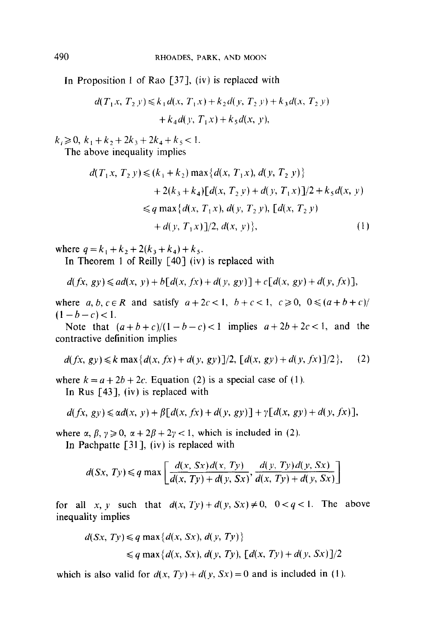In Proposition 1 of Rao [37], (iv) is replaced with

$$
d(T_1x, T_2y) \le k_1 d(x, T_1x) + k_2 d(y, T_2y) + k_3 d(x, T_2y) + k_4 d(y, T_1x) + k_5 d(x, y),
$$

 $k_1 \geqslant 0, k_1+k_2+2k_3+2k_4+k_5<1.$ 

The above inequality implies

$$
d(T_1x, T_2y) \le (k_1 + k_2) \max\{d(x, T_1x), d(y, T_2y)\}
$$
  
+ 2(k\_3 + k\_4)[d(x, T\_2y) + d(y, T\_1x)]/2 + k\_5d(x, y)  

$$
\le q \max\{d(x, T_1x), d(y, T_2y), [d(x, T_2y) + d(y, T_1x)]/2, d(x, y)\},
$$
 (1)

where  $q = k_1 + k_2 + 2(k_3 + k_4) + k_5$ .

In Theorem 1 of Reilly  $\lceil 40 \rceil$  (iv) is replaced with

$$
d(fx, gy) \leq ad(x, y) + b[d(x, fx) + d(y, gy)] + c[d(x, gy) + d(y, fx)],
$$

where a, b,  $c \in \mathbb{R}$  and satisfy  $a + 2c < 1$ ,  $b + c < 1$ ,  $c \ge 0$ ,  $0 \le (a + b + c)$  $(1-b-c) < 1.$ 

Note that  $(a+b+c)/(1-b-c) < 1$  implies  $a+2b+2c < 1$ , and the contractive definition implies

$$
d(fx, gy) \le k \max\{d(x, fx) + d(y, gy)\}/2, [d(x, gy) + d(y, fx)]/2\},
$$
 (2)

where  $k = a + 2b + 2c$ . Equation (2) is a special case of (1).

In Rus  $[43]$ , (iv) is replaced with

$$
d(fx, gy) \leq \alpha d(x, y) + \beta [d(x, fx) + d(y, gy)] + \gamma [d(x, gy) + d(y, fx)],
$$

where  $\alpha$ ,  $\beta$ ,  $\gamma \ge 0$ ,  $\alpha + 2\beta + 2\gamma < 1$ , which is included in (2).

In Pachpatte  $[31]$ , (iv) is replaced with

$$
d(Sx, Ty) \leq q \max \left[ \frac{d(x, Sx) d(x, Ty)}{d(x, Ty) + d(y, Sx)}, \frac{d(y, Ty) d(y, Sx)}{d(x, Ty) + d(y, Sx)} \right]
$$

for all x, y such that  $d(x, Ty) + d(y, Sx) \neq 0$ ,  $0 < q < 1$ . The above inequality implies

$$
d(Sx, Ty) \leq q \max\{d(x, Sx), d(y, Ty)\}
$$
  

$$
\leq q \max\{d(x, Sx), d(y, Ty), [d(x, Ty) + d(y, Sx)]/2\}
$$

which is also valid for  $d(x, Ty) + d(y, Sx) = 0$  and is included in (1).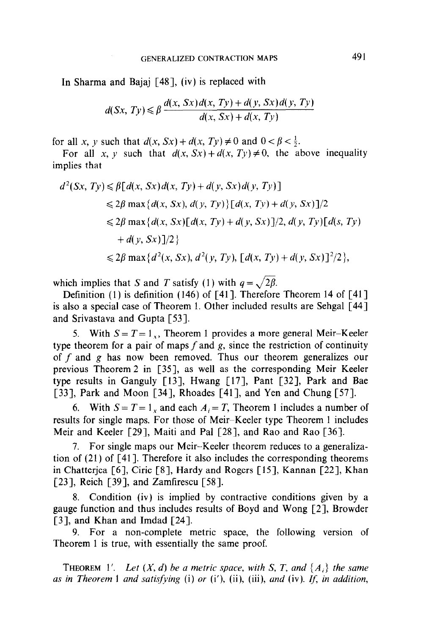In Sharma and Bajaj [48], (iv) is replaced with

$$
d(Sx, Ty) \leq \beta \frac{d(x, Sx) d(x, Ty) + d(y, Sx) d(y, Ty)}{d(x, Sx) + d(x, Ty)}
$$

for all x, y such that  $d(x, Sx) + d(x, Ty) \neq 0$  and  $0 < \beta < \frac{1}{2}$ .

For all x, y such that  $d(x, Sx) + d(x, Ty) \neq 0$ , the above inequality implies that

$$
d^{2}(Sx, Ty) \leq \beta[d(x, Sx) d(x, Ty) + d(y, Sx) d(y, Ty)]
$$
  
\n
$$
\leq 2\beta \max\{d(x, Sx), d(y, Ty)\}[d(x, Ty) + d(y, Sx)]/2
$$
  
\n
$$
\leq 2\beta \max\{d(x, Sx)[d(x, Ty) + d(y, Sx)]/2, d(y, Ty)[d(s, Ty) + d(y, Sx)]/2\}
$$
  
\n
$$
\leq 2\beta \max\{d^{2}(x, Sx), d^{2}(y, Ty), [d(x, Ty) + d(y, Sx)]^{2}/2\},
$$

which implies that S and T satisfy (1) with  $q = \sqrt{2\beta}$ .

Definition (1) is definition (146) of [41]. Therefore Theorem 14 of [41] is also a special case of Theorem 1. Other included results are Sehgal [44] and Srivastava and Gupta [53].

5. With  $S = T = 1<sub>x</sub>$ , Theorem 1 provides a more general Meir-Keeler type theorem for a pair of maps f and  $g$ , since the restriction of continuity of  $f$  and  $g$  has now been removed. Thus our theorem generalizes our previous Theorem 2 in [35], as well as the corresponding Meir-Keeler type results in Ganguly [13], Hwang [17], Pant [32], Park and Bae [33], Park and Moon [34], Rhoades [41], and Yen and Chung [57].

6. With  $S = T = 1_x$  and each  $A_i = T$ , Theorem 1 includes a number of results for single maps. For those of Meir-Keeler type Theorem 1 includes Meir and Keeler [29], Maiti and Pal [28], and Rao and Rao [36].

7. For single maps our Meir-Keeler theorem reduces to a generalization of (21) of [41]. Therefore it also includes the corresponding theorems in Chatterjea [6], Ciric [S], Hardy and Rogers [15], Kannan [22], Khan [23], Reich [39], and Zamfirescu [58].

8. Condition (iv) is implied by contractive conditions given by a gauge function and thus includes results of Boyd and Wong [2], Browder [3], and Khan and Imdad [24].

9. For a non-complete metric space, the following version of Theorem 1 is true, with essentially the same proof.

**THEOREM** 1'. Let  $(X, d)$  be a metric space, with S, T, and  $\{A_i\}$  the same as in Theorem 1 and satisfying  $(i)$  or  $(i')$ ,  $(ii)$ ,  $(iii)$ , and  $(iv)$ . If, in addition,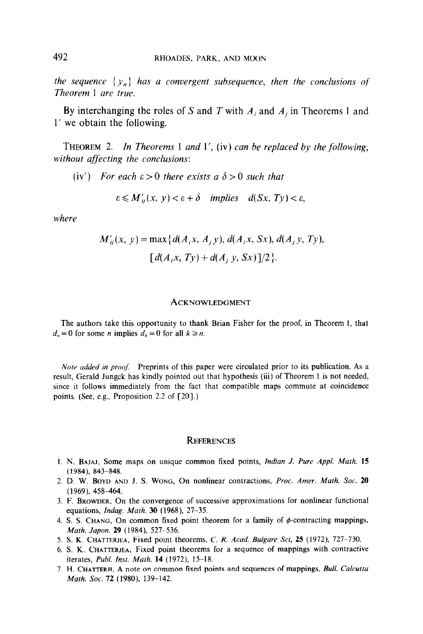the sequence  $\{y_n\}$  has a convergent subsequence, then the conclusions of Theorem 1 are true.

By interchanging the roles of S and T with  $A_i$  and  $A_j$  in Theorems 1 and 1' we obtain the following.

THEOREM 2. In Theorems 1 and 1', (iv) can be replaced by the following, without affecting the conclusions:

(iv') For each  $\epsilon > 0$  there exists a  $\delta > 0$  such that

 $\varepsilon \leq M'_{ii}(x, y) < \varepsilon + \delta$  implies  $d(Sx, Ty) < \varepsilon$ ,

where

$$
M'_{ij}(x, y) = \max\{d(A_i x, A_j y), d(A_i x, Sx), d(A_j y, Ty), \ [d(A_i x, Ty) + d(A_j y, Sx)]/2\}.
$$

#### **ACKNOWLEDGMENT**

The authors take this opportunity to thank Brian Fisher for the proof, in Theorem 1, that  $d_n = 0$  for some *n* implies  $d_k = 0$  for all  $k \ge n$ .

Note added in proof. Preprints of this paper were circulated prior to its publication. As a result, Gerald Jungck has kindly pointed out that hypothesis (iii) of Theorem 1 is not needed, since it follows immediately from the fact that compatible maps commute at coincidence points. (See, e.g., Proposition 2.2 of [20].)

#### **REFERENCES**

- 1. N. BAJA], Some maps on unique common fixed points, Indian J. Pure Appl. Math. 15 (1984). 843-848.
- 2. D. W. BOYD AND J. S. WONG, On nonlinear contractions, Proc. Amer. Math. Soc. 20  $(1969)$ , 458-464.
- 3. F. BROWDER, On the convergence of successive approximations for nonlinear functional equations, lndag. Math. 30 (1968), 27-35.
- 4. S. S. CHANG, On common fixed point theorem for a family of  $\phi$ -contracting mappings, Math. Japon. 29 (1984), 527-536.
- 5. S. K. CHATTERJEA, Fixed point theorems, C. R. Acad. Bulgare Sci, 25 (1972), 727-730.
- 6. S. K. CHATTERJEA, Fixed point theorems for a sequence of mappings with contractive iterates, Publ. Inst. Math. 14 (1972), 15-18.
- 7. H. CHATTERJI, A note on common fixed points and sequences of mappings, Bull. Calcutta Math. Soc. 72 (1980), 139-142.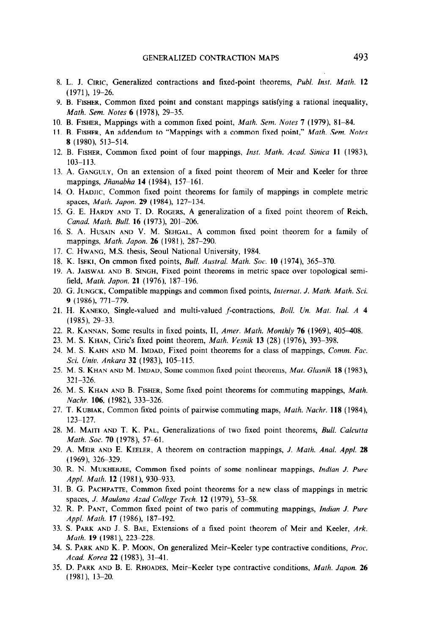- 8. L. J. CIRIC, Generalized contractions and fixed-point theorems, Publ. Inst. Math. 12 (1971), 19-26.
- 9. B. FISHER, Common tixed point and constant mappings satisfying a rational inequality, Math. Sem. Notes 6 (1978), 29-35.
- 10. B. FISHER, Mappings with a common fixed point, *Math. Sem. Notes* 7 (1979), 81–84.
- 11. B. FISHER, An addendum to "Mappings with a common fixed point," Math. Sem. Notes 8 (1980), 513-514.
- 12. B. FISHER, Common fixed point of four mappings, Inst. Math. Acad. Sinica 11 (1983), 103-l 13.
- 13. A. GANGULY, On an extension of a fixed point theorem of Meir and Keeler for three mappings, Jñanabha 14 (1984), 157-161.
- 14. 0. HADIIC, Common fixed point theorems for family of mappings in complete metric spaces, Math. Japon. 29 (1984), 127-134.
- 15. G. E. HARDY AND T. D. ROGERS, A generalization of a fixed point theorem of Reich, Canad. Math. Bull. 16 (1973), 201-206.
- 16. S. A. HUSAIN AND V. M. SEHGAL, A common fixed point theorem for a family of mappings, *Math. Japon.* **26** (1981), 287-290.
- 17. C. Hwang, M.S. thesis, Seoul National University, 1984.
- 18. K. ISEKI, On cmmon fixed points, *Bull. Austral. Math. Soc.* 10 (1974), 365-370.
- 19. A. JAISWAL AND B. SINGH, Fixed point theorems in metric space over topological semifield, *Math. Japon.* 21 (1976), 187-196.
- 20. G. JUNGCK, Compatible mappings and common fixed points, Internat. J. Math. Math. Sci. 9 (1986), 771-779.
- 21. H. KANEKO, Single-valued and multi-valued f-contractions, Boll. Un. Mat. Ital. A 4  $(1985)$ , 29-33.
- 22. R. KANNAN, Some results in fixed points, II, Amer. Math. Monthly 76 (1969), 405-408.
- 23. M. S. KHAN, Ciric's fixed point theorem, Math. Vesnik 13 (28) (1976), 393-398.
- 24. M. S. KAHN AND M. IMDAD, Fixed point theorems for a class of mappings, Comm. Fac. Sci. Univ. Ankara 32 (1983), 105-115.
- 25. M. S. KHAN AND M. IMDAD, Some common fixed point theorems, Mat. Glasnik 18 (1983), 321-326.
- 26. M. S. KHAN AND B. FISHER, Some fixed point theorems for commuting mappings, Math. Nachr. 106, (1982), 333-326.
- 27. T. KUBIAK, Common fixed points of pairwise commuting maps, Math. Nachr. 118 (1984), 123-127.
- 28. M. MAITI AND T. K. PAL, Generalizations of two fixed point theorems, Bull. Calcutta Math. Soc. 70 (1978), 57-61.
- 29. A. MEIR AND E. KEELER, A theorem on contraction mappings, J. Math. Anal. Appl. 28  $(1969)$ , 326-329.
- 30. R. N. MUKHERJEE, Common tixed points of some nonlinear mappings, Indian J. Pure Appl. Math. 12 (1981), 930-933.
- 31. B. G. PACHPATTE, Common fixed point theorems for a new class of mappings in metric spaces, J. Maulana Azad College Tech. 12 (1979), 53-58.
- 32. R. P. PANT, Common fixed point of two paris of commuting mappings, Indian J. Pure Appl. Math. 17 (1986), 187-192.
- 33. S. PARK AND J. S. BAE, Extensions of a fixed point theorem of Meir and Keeler, Ark. Math. 19 (1981), 223-228.
- 34. S. PARK AND K. P. MOON, On generalized Meir-Keeler type contractive conditions, Proc. Acad. Korea 22 (1983), 31-41.
- 35. D. PARK AND B. E. RHOADES, Meir-Keeler type contractive conditions, Math. Japon. 26  $(1981)$ ,  $13-20$ .